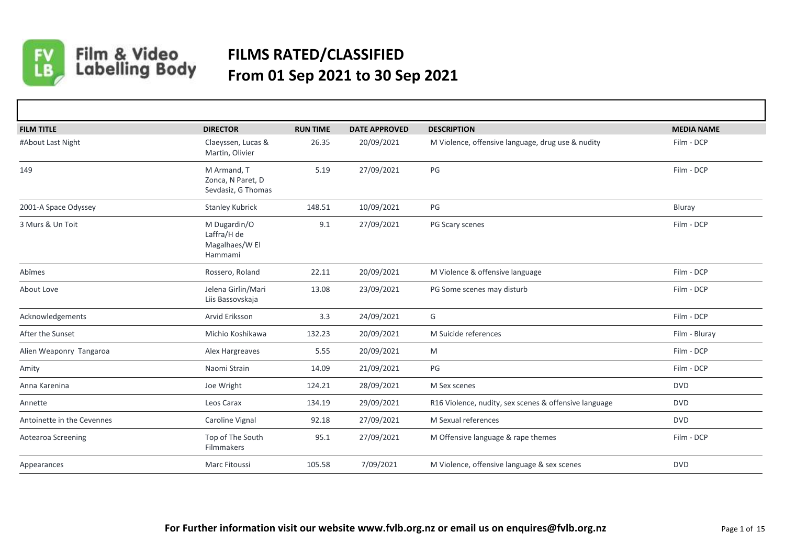

## Film & Video<br>Labelling Body **FILMS RATED/CLASSIFIED From 01 Sep 2021 to 30 Sep 2021**

| <b>FILM TITLE</b>          | <b>DIRECTOR</b>                                          | <b>RUN TIME</b> | <b>DATE APPROVED</b> | <b>DESCRIPTION</b>                                    | <b>MEDIA NAME</b> |
|----------------------------|----------------------------------------------------------|-----------------|----------------------|-------------------------------------------------------|-------------------|
| #About Last Night          | Claeyssen, Lucas &<br>Martin, Olivier                    | 26.35           | 20/09/2021           | M Violence, offensive language, drug use & nudity     | Film - DCP        |
| 149                        | M Armand, T<br>Zonca, N Paret, D<br>Sevdasiz, G Thomas   | 5.19            | 27/09/2021           | PG                                                    | Film - DCP        |
| 2001-A Space Odyssey       | <b>Stanley Kubrick</b>                                   | 148.51          | 10/09/2021           | PG                                                    | Bluray            |
| 3 Murs & Un Toit           | M Dugardin/O<br>Laffra/H de<br>Magalhaes/W El<br>Hammami | 9.1             | 27/09/2021           | PG Scary scenes                                       | Film - DCP        |
| Abîmes                     | Rossero, Roland                                          | 22.11           | 20/09/2021           | M Violence & offensive language                       | Film - DCP        |
| About Love                 | Jelena Girlin/Mari<br>Liis Bassovskaja                   | 13.08           | 23/09/2021           | PG Some scenes may disturb                            | Film - DCP        |
| Acknowledgements           | Arvid Eriksson                                           | 3.3             | 24/09/2021           | G                                                     | Film - DCP        |
| After the Sunset           | Michio Koshikawa                                         | 132.23          | 20/09/2021           | M Suicide references                                  | Film - Bluray     |
| Alien Weaponry Tangaroa    | Alex Hargreaves                                          | 5.55            | 20/09/2021           | M                                                     | Film - DCP        |
| Amity                      | Naomi Strain                                             | 14.09           | 21/09/2021           | PG                                                    | Film - DCP        |
| Anna Karenina              | Joe Wright                                               | 124.21          | 28/09/2021           | M Sex scenes                                          | <b>DVD</b>        |
| Annette                    | Leos Carax                                               | 134.19          | 29/09/2021           | R16 Violence, nudity, sex scenes & offensive language | <b>DVD</b>        |
| Antoinette in the Cevennes | Caroline Vignal                                          | 92.18           | 27/09/2021           | M Sexual references                                   | <b>DVD</b>        |
| Aotearoa Screening         | Top of The South<br>Filmmakers                           | 95.1            | 27/09/2021           | M Offensive language & rape themes                    | Film - DCP        |
| Appearances                | Marc Fitoussi                                            | 105.58          | 7/09/2021            | M Violence, offensive language & sex scenes           | <b>DVD</b>        |
|                            |                                                          |                 |                      |                                                       |                   |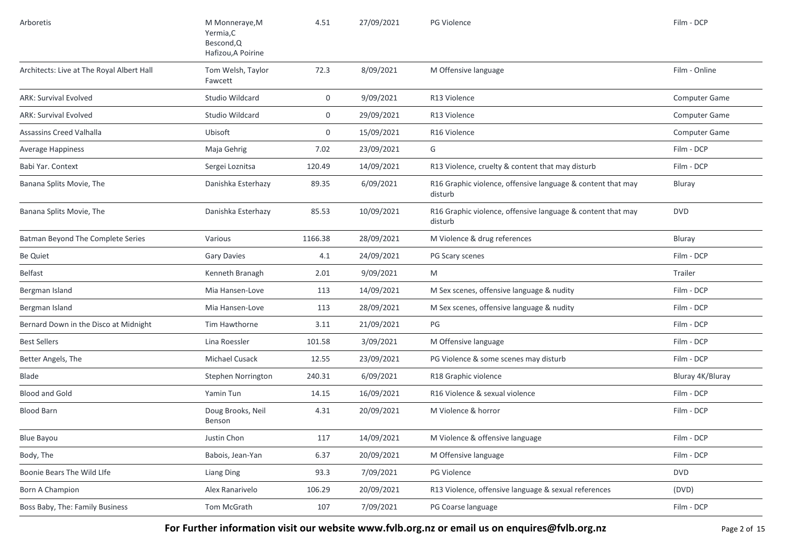| Arboretis                                 | M Monneraye, M<br>Yermia, C<br>Bescond, Q<br>Hafizou, A Poirine | 4.51        | 27/09/2021 | PG Violence                                                            | Film - DCP       |
|-------------------------------------------|-----------------------------------------------------------------|-------------|------------|------------------------------------------------------------------------|------------------|
| Architects: Live at The Royal Albert Hall | Tom Welsh, Taylor<br>Fawcett                                    | 72.3        | 8/09/2021  | M Offensive language                                                   | Film - Online    |
| <b>ARK: Survival Evolved</b>              | Studio Wildcard                                                 | $\mathbf 0$ | 9/09/2021  | R13 Violence                                                           | Computer Game    |
| <b>ARK: Survival Evolved</b>              | Studio Wildcard                                                 | $\mathbf 0$ | 29/09/2021 | R13 Violence                                                           | Computer Game    |
| Assassins Creed Valhalla                  | Ubisoft                                                         | $\mathbf 0$ | 15/09/2021 | R <sub>16</sub> Violence                                               | Computer Game    |
| Average Happiness                         | Maja Gehrig                                                     | 7.02        | 23/09/2021 | G                                                                      | Film - DCP       |
| Babi Yar. Context                         | Sergei Loznitsa                                                 | 120.49      | 14/09/2021 | R13 Violence, cruelty & content that may disturb                       | Film - DCP       |
| Banana Splits Movie, The                  | Danishka Esterhazy                                              | 89.35       | 6/09/2021  | R16 Graphic violence, offensive language & content that may<br>disturb | Bluray           |
| Banana Splits Movie, The                  | Danishka Esterhazy                                              | 85.53       | 10/09/2021 | R16 Graphic violence, offensive language & content that may<br>disturb | <b>DVD</b>       |
| Batman Beyond The Complete Series         | Various                                                         | 1166.38     | 28/09/2021 | M Violence & drug references                                           | Bluray           |
| <b>Be Quiet</b>                           | <b>Gary Davies</b>                                              | 4.1         | 24/09/2021 | PG Scary scenes                                                        | Film - DCP       |
| Belfast                                   | Kenneth Branagh                                                 | 2.01        | 9/09/2021  | M                                                                      | Trailer          |
| Bergman Island                            | Mia Hansen-Love                                                 | 113         | 14/09/2021 | M Sex scenes, offensive language & nudity                              | Film - DCP       |
| Bergman Island                            | Mia Hansen-Love                                                 | 113         | 28/09/2021 | M Sex scenes, offensive language & nudity                              | Film - DCP       |
| Bernard Down in the Disco at Midnight     | Tim Hawthorne                                                   | 3.11        | 21/09/2021 | PG                                                                     | Film - DCP       |
| <b>Best Sellers</b>                       | Lina Roessler                                                   | 101.58      | 3/09/2021  | M Offensive language                                                   | Film - DCP       |
| Better Angels, The                        | Michael Cusack                                                  | 12.55       | 23/09/2021 | PG Violence & some scenes may disturb                                  | Film - DCP       |
| Blade                                     | Stephen Norrington                                              | 240.31      | 6/09/2021  | R18 Graphic violence                                                   | Bluray 4K/Bluray |
| <b>Blood and Gold</b>                     | Yamin Tun                                                       | 14.15       | 16/09/2021 | R16 Violence & sexual violence                                         | Film - DCP       |
| <b>Blood Barn</b>                         | Doug Brooks, Neil<br>Benson                                     | 4.31        | 20/09/2021 | M Violence & horror                                                    | Film - DCP       |
| <b>Blue Bayou</b>                         | Justin Chon                                                     | 117         | 14/09/2021 | M Violence & offensive language                                        | Film - DCP       |
| Body, The                                 | Babois, Jean-Yan                                                | 6.37        | 20/09/2021 | M Offensive language                                                   | Film - DCP       |
| Boonie Bears The Wild LIfe                | <b>Liang Ding</b>                                               | 93.3        | 7/09/2021  | PG Violence                                                            | <b>DVD</b>       |
| Born A Champion                           | Alex Ranarivelo                                                 | 106.29      | 20/09/2021 | R13 Violence, offensive language & sexual references                   | (DVD)            |
| Boss Baby, The: Family Business           | Tom McGrath                                                     | 107         | 7/09/2021  | PG Coarse language                                                     | Film - DCP       |

For Further information visit our website www.fvlb.org.nz or email us on enquires@fvlb.org.nz<br>Page 2 of 15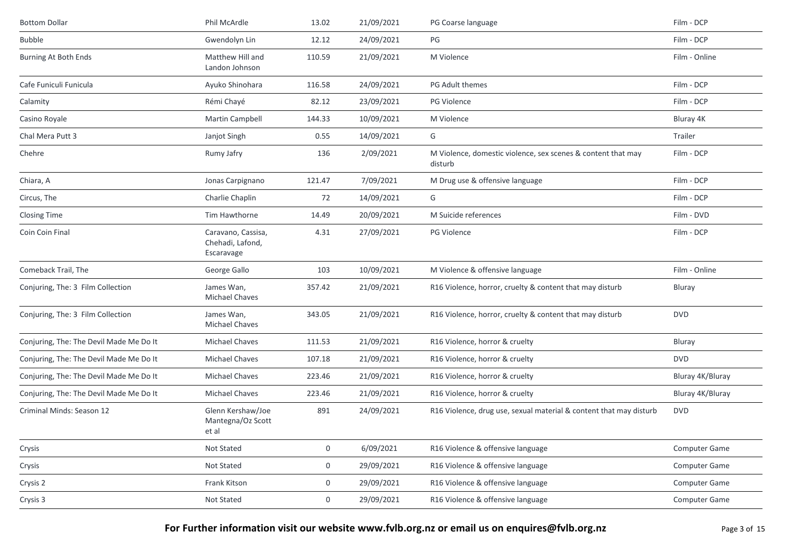| <b>Bottom Dollar</b>                    | Phil McArdle                                         | 13.02  | 21/09/2021 | PG Coarse language                                                      | Film - DCP       |
|-----------------------------------------|------------------------------------------------------|--------|------------|-------------------------------------------------------------------------|------------------|
| <b>Bubble</b>                           | Gwendolyn Lin                                        | 12.12  | 24/09/2021 | PG                                                                      | Film - DCP       |
| Burning At Both Ends                    | Matthew Hill and<br>Landon Johnson                   | 110.59 | 21/09/2021 | M Violence                                                              | Film - Online    |
| Cafe Funiculi Funicula                  | Ayuko Shinohara                                      | 116.58 | 24/09/2021 | PG Adult themes                                                         | Film - DCP       |
| Calamity                                | Rémi Chayé                                           | 82.12  | 23/09/2021 | <b>PG Violence</b>                                                      | Film - DCP       |
| Casino Royale                           | Martin Campbell                                      | 144.33 | 10/09/2021 | M Violence                                                              | Bluray 4K        |
| Chal Mera Putt 3                        | Janjot Singh                                         | 0.55   | 14/09/2021 | G                                                                       | Trailer          |
| Chehre                                  | Rumy Jafry                                           | 136    | 2/09/2021  | M Violence, domestic violence, sex scenes & content that may<br>disturb | Film - DCP       |
| Chiara, A                               | Jonas Carpignano                                     | 121.47 | 7/09/2021  | M Drug use & offensive language                                         | Film - DCP       |
| Circus, The                             | Charlie Chaplin                                      | 72     | 14/09/2021 | G                                                                       | Film - DCP       |
| <b>Closing Time</b>                     | Tim Hawthorne                                        | 14.49  | 20/09/2021 | M Suicide references                                                    | Film - DVD       |
| Coin Coin Final                         | Caravano, Cassisa,<br>Chehadi, Lafond,<br>Escaravage | 4.31   | 27/09/2021 | <b>PG Violence</b>                                                      | Film - DCP       |
| Comeback Trail, The                     | George Gallo                                         | 103    | 10/09/2021 | M Violence & offensive language                                         | Film - Online    |
| Conjuring, The: 3 Film Collection       | James Wan,<br><b>Michael Chaves</b>                  | 357.42 | 21/09/2021 | R16 Violence, horror, cruelty & content that may disturb                | Bluray           |
| Conjuring, The: 3 Film Collection       | James Wan,<br><b>Michael Chaves</b>                  | 343.05 | 21/09/2021 | R16 Violence, horror, cruelty & content that may disturb                | <b>DVD</b>       |
| Conjuring, The: The Devil Made Me Do It | Michael Chaves                                       | 111.53 | 21/09/2021 | R16 Violence, horror & cruelty                                          | Bluray           |
| Conjuring, The: The Devil Made Me Do It | <b>Michael Chaves</b>                                | 107.18 | 21/09/2021 | R16 Violence, horror & cruelty                                          | <b>DVD</b>       |
| Conjuring, The: The Devil Made Me Do It | Michael Chaves                                       | 223.46 | 21/09/2021 | R16 Violence, horror & cruelty                                          | Bluray 4K/Bluray |
| Conjuring, The: The Devil Made Me Do It | Michael Chaves                                       | 223.46 | 21/09/2021 | R16 Violence, horror & cruelty                                          | Bluray 4K/Bluray |
| Criminal Minds: Season 12               | Glenn Kershaw/Joe<br>Mantegna/Oz Scott<br>et al      | 891    | 24/09/2021 | R16 Violence, drug use, sexual material & content that may disturb      | <b>DVD</b>       |
| Crysis                                  | Not Stated                                           | 0      | 6/09/2021  | R16 Violence & offensive language                                       | Computer Game    |
| Crysis                                  | Not Stated                                           | 0      | 29/09/2021 | R16 Violence & offensive language                                       | Computer Game    |
| Crysis 2                                | Frank Kitson                                         | 0      | 29/09/2021 | R16 Violence & offensive language                                       | Computer Game    |
| Crysis 3                                | Not Stated                                           | 0      | 29/09/2021 | R16 Violence & offensive language                                       | Computer Game    |

**For Further information visit our website www.fvlb.org.nz or email us on enquires@fvlb.org.nz** Page 3 of 15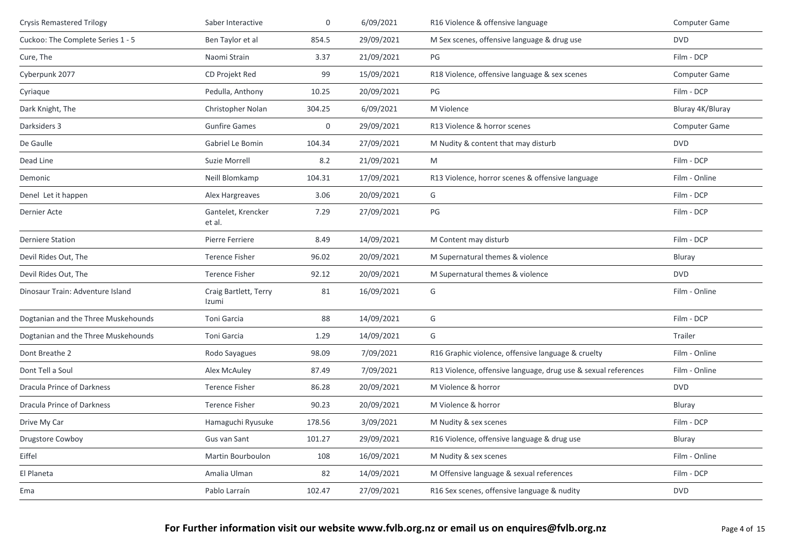| <b>Crysis Remastered Trilogy</b>    | Saber Interactive              | $\boldsymbol{0}$ | 6/09/2021  | R16 Violence & offensive language                              | Computer Game        |
|-------------------------------------|--------------------------------|------------------|------------|----------------------------------------------------------------|----------------------|
| Cuckoo: The Complete Series 1 - 5   | Ben Taylor et al               | 854.5            | 29/09/2021 | M Sex scenes, offensive language & drug use                    | <b>DVD</b>           |
| Cure, The                           | Naomi Strain                   | 3.37             | 21/09/2021 | PG                                                             | Film - DCP           |
| Cyberpunk 2077                      | CD Projekt Red                 | 99               | 15/09/2021 | R18 Violence, offensive language & sex scenes                  | <b>Computer Game</b> |
| Cyriaque                            | Pedulla, Anthony               | 10.25            | 20/09/2021 | PG                                                             | Film - DCP           |
| Dark Knight, The                    | Christopher Nolan              | 304.25           | 6/09/2021  | M Violence                                                     | Bluray 4K/Bluray     |
| Darksiders 3                        | <b>Gunfire Games</b>           | $\boldsymbol{0}$ | 29/09/2021 | R13 Violence & horror scenes                                   | Computer Game        |
| De Gaulle                           | Gabriel Le Bomin               | 104.34           | 27/09/2021 | M Nudity & content that may disturb                            | <b>DVD</b>           |
| Dead Line                           | Suzie Morrell                  | 8.2              | 21/09/2021 | M                                                              | Film - DCP           |
| Demonic                             | Neill Blomkamp                 | 104.31           | 17/09/2021 | R13 Violence, horror scenes & offensive language               | Film - Online        |
| Denel Let it happen                 | Alex Hargreaves                | 3.06             | 20/09/2021 | G                                                              | Film - DCP           |
| Dernier Acte                        | Gantelet, Krencker<br>et al.   | 7.29             | 27/09/2021 | PG                                                             | Film - DCP           |
| <b>Derniere Station</b>             | Pierre Ferriere                | 8.49             | 14/09/2021 | M Content may disturb                                          | Film - DCP           |
| Devil Rides Out, The                | <b>Terence Fisher</b>          | 96.02            | 20/09/2021 | M Supernatural themes & violence                               | Bluray               |
| Devil Rides Out, The                | <b>Terence Fisher</b>          | 92.12            | 20/09/2021 | M Supernatural themes & violence                               | <b>DVD</b>           |
| Dinosaur Train: Adventure Island    | Craig Bartlett, Terry<br>Izumi | 81               | 16/09/2021 | G                                                              | Film - Online        |
| Dogtanian and the Three Muskehounds | Toni Garcia                    | 88               | 14/09/2021 | G                                                              | Film - DCP           |
| Dogtanian and the Three Muskehounds | Toni Garcia                    | 1.29             | 14/09/2021 | G                                                              | Trailer              |
| Dont Breathe 2                      | Rodo Sayagues                  | 98.09            | 7/09/2021  | R16 Graphic violence, offensive language & cruelty             | Film - Online        |
| Dont Tell a Soul                    | Alex McAuley                   | 87.49            | 7/09/2021  | R13 Violence, offensive language, drug use & sexual references | Film - Online        |
| Dracula Prince of Darkness          | <b>Terence Fisher</b>          | 86.28            | 20/09/2021 | M Violence & horror                                            | <b>DVD</b>           |
| Dracula Prince of Darkness          | <b>Terence Fisher</b>          | 90.23            | 20/09/2021 | M Violence & horror                                            | Bluray               |
| Drive My Car                        | Hamaguchi Ryusuke              | 178.56           | 3/09/2021  | M Nudity & sex scenes                                          | Film - DCP           |
| Drugstore Cowboy                    | Gus van Sant                   | 101.27           | 29/09/2021 | R16 Violence, offensive language & drug use                    | Bluray               |
| Eiffel                              | Martin Bourboulon              | 108              | 16/09/2021 | M Nudity & sex scenes                                          | Film - Online        |
| El Planeta                          | Amalia Ulman                   | 82               | 14/09/2021 | M Offensive language & sexual references                       | Film - DCP           |
| Ema                                 | Pablo Larraín                  | 102.47           | 27/09/2021 | R16 Sex scenes, offensive language & nudity                    | <b>DVD</b>           |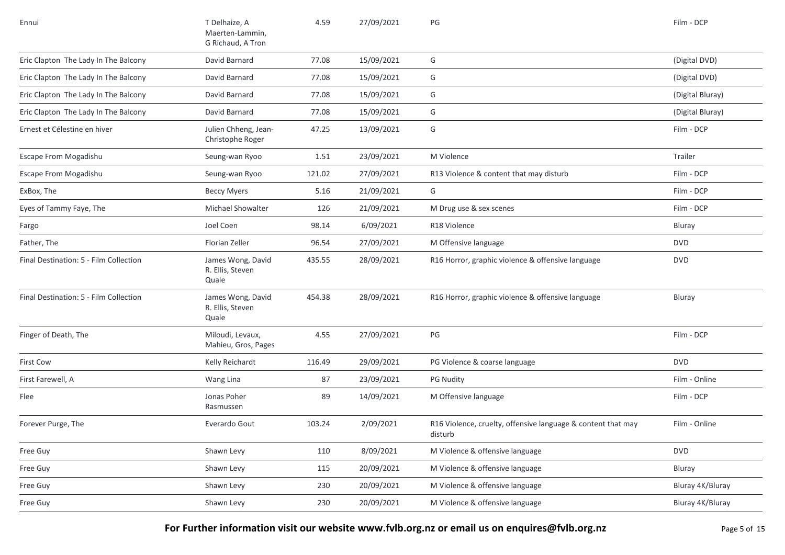| Ennui                                  | T Delhaize, A<br>Maerten-Lammin,<br>G Richaud, A Tron | 4.59   | 27/09/2021 | PG                                                                      | Film - DCP       |
|----------------------------------------|-------------------------------------------------------|--------|------------|-------------------------------------------------------------------------|------------------|
| Eric Clapton The Lady In The Balcony   | David Barnard                                         | 77.08  | 15/09/2021 | G                                                                       | (Digital DVD)    |
| Eric Clapton The Lady In The Balcony   | David Barnard                                         | 77.08  | 15/09/2021 | G                                                                       | (Digital DVD)    |
| Eric Clapton The Lady In The Balcony   | David Barnard                                         | 77.08  | 15/09/2021 | G                                                                       | (Digital Bluray) |
| Eric Clapton The Lady In The Balcony   | David Barnard                                         | 77.08  | 15/09/2021 | G                                                                       | (Digital Bluray) |
| Ernest et Célestine en hiver           | Julien Chheng, Jean-<br>Christophe Roger              | 47.25  | 13/09/2021 | G                                                                       | Film - DCP       |
| Escape From Mogadishu                  | Seung-wan Ryoo                                        | 1.51   | 23/09/2021 | M Violence                                                              | Trailer          |
| Escape From Mogadishu                  | Seung-wan Ryoo                                        | 121.02 | 27/09/2021 | R13 Violence & content that may disturb                                 | Film - DCP       |
| ExBox, The                             | <b>Beccy Myers</b>                                    | 5.16   | 21/09/2021 | G                                                                       | Film - DCP       |
| Eyes of Tammy Faye, The                | <b>Michael Showalter</b>                              | 126    | 21/09/2021 | M Drug use & sex scenes                                                 | Film - DCP       |
| Fargo                                  | Joel Coen                                             | 98.14  | 6/09/2021  | R18 Violence                                                            | Bluray           |
| Father, The                            | Florian Zeller                                        | 96.54  | 27/09/2021 | M Offensive language                                                    | <b>DVD</b>       |
| Final Destination: 5 - Film Collection | James Wong, David<br>R. Ellis, Steven<br>Quale        | 435.55 | 28/09/2021 | R16 Horror, graphic violence & offensive language                       | <b>DVD</b>       |
| Final Destination: 5 - Film Collection | James Wong, David<br>R. Ellis, Steven<br>Quale        | 454.38 | 28/09/2021 | R16 Horror, graphic violence & offensive language                       | Bluray           |
| Finger of Death, The                   | Miloudi, Levaux,<br>Mahieu, Gros, Pages               | 4.55   | 27/09/2021 | PG                                                                      | Film - DCP       |
| <b>First Cow</b>                       | Kelly Reichardt                                       | 116.49 | 29/09/2021 | PG Violence & coarse language                                           | <b>DVD</b>       |
| First Farewell, A                      | Wang Lina                                             | 87     | 23/09/2021 | <b>PG Nudity</b>                                                        | Film - Online    |
| Flee                                   | Jonas Poher<br>Rasmussen                              | 89     | 14/09/2021 | M Offensive language                                                    | Film - DCP       |
| Forever Purge, The                     | Everardo Gout                                         | 103.24 | 2/09/2021  | R16 Violence, cruelty, offensive language & content that may<br>disturb | Film - Online    |
| Free Guy                               | Shawn Levy                                            | 110    | 8/09/2021  | M Violence & offensive language                                         | <b>DVD</b>       |
| Free Guy                               | Shawn Levy                                            | 115    | 20/09/2021 | M Violence & offensive language                                         | Bluray           |
| Free Guy                               | Shawn Levy                                            | 230    | 20/09/2021 | M Violence & offensive language                                         | Bluray 4K/Bluray |
| Free Guy                               | Shawn Levy                                            | 230    | 20/09/2021 | M Violence & offensive language                                         | Bluray 4K/Bluray |

**For Further information visit our website www.fvlb.org.nz or email us on enquires@fvlb.org.nz** Page 5 of 15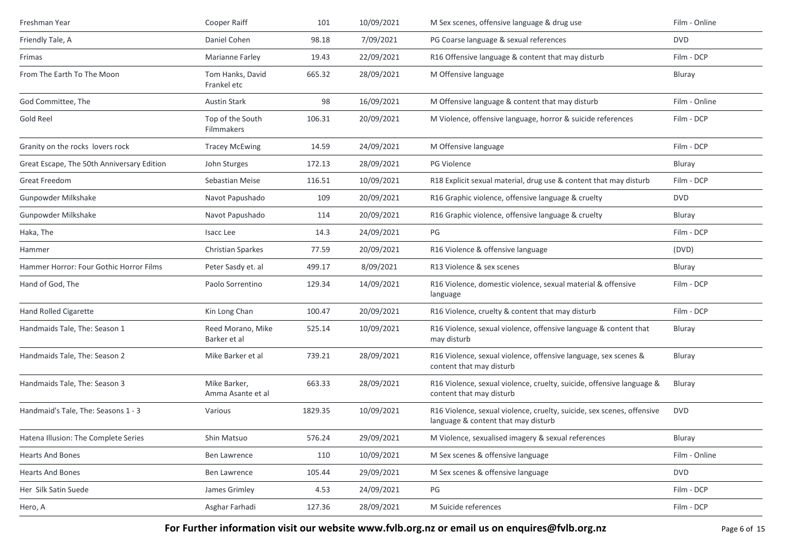| Freshman Year                              | Cooper Raiff                      | 101     | 10/09/2021 | M Sex scenes, offensive language & drug use                                                                   | Film - Online |
|--------------------------------------------|-----------------------------------|---------|------------|---------------------------------------------------------------------------------------------------------------|---------------|
| Friendly Tale, A                           | Daniel Cohen                      | 98.18   | 7/09/2021  | PG Coarse language & sexual references                                                                        | <b>DVD</b>    |
| Frimas                                     | <b>Marianne Farley</b>            | 19.43   | 22/09/2021 | R16 Offensive language & content that may disturb                                                             | Film - DCP    |
| From The Earth To The Moon                 | Tom Hanks, David<br>Frankel etc   | 665.32  | 28/09/2021 | M Offensive language                                                                                          | Bluray        |
| God Committee, The                         | <b>Austin Stark</b>               | 98      | 16/09/2021 | M Offensive language & content that may disturb                                                               | Film - Online |
| Gold Reel                                  | Top of the South<br>Filmmakers    | 106.31  | 20/09/2021 | M Violence, offensive language, horror & suicide references                                                   | Film - DCP    |
| Granity on the rocks lovers rock           | <b>Tracey McEwing</b>             | 14.59   | 24/09/2021 | M Offensive language                                                                                          | Film - DCP    |
| Great Escape, The 50th Anniversary Edition | John Sturges                      | 172.13  | 28/09/2021 | PG Violence                                                                                                   | Bluray        |
| Great Freedom                              | Sebastian Meise                   | 116.51  | 10/09/2021 | R18 Explicit sexual material, drug use & content that may disturb                                             | Film - DCP    |
| Gunpowder Milkshake                        | Navot Papushado                   | 109     | 20/09/2021 | R16 Graphic violence, offensive language & cruelty                                                            | <b>DVD</b>    |
| Gunpowder Milkshake                        | Navot Papushado                   | 114     | 20/09/2021 | R16 Graphic violence, offensive language & cruelty                                                            | Bluray        |
| Haka, The                                  | Isacc Lee                         | 14.3    | 24/09/2021 | PG                                                                                                            | Film - DCP    |
| Hammer                                     | <b>Christian Sparkes</b>          | 77.59   | 20/09/2021 | R16 Violence & offensive language                                                                             | (DVD)         |
| Hammer Horror: Four Gothic Horror Films    | Peter Sasdy et. al                | 499.17  | 8/09/2021  | R13 Violence & sex scenes                                                                                     | Bluray        |
| Hand of God, The                           | Paolo Sorrentino                  | 129.34  | 14/09/2021 | R16 Violence, domestic violence, sexual material & offensive<br>language                                      | Film - DCP    |
| <b>Hand Rolled Cigarette</b>               | Kin Long Chan                     | 100.47  | 20/09/2021 | R16 Violence, cruelty & content that may disturb                                                              | Film - DCP    |
| Handmaids Tale, The: Season 1              | Reed Morano, Mike<br>Barker et al | 525.14  | 10/09/2021 | R16 Violence, sexual violence, offensive language & content that<br>may disturb                               | Bluray        |
| Handmaids Tale, The: Season 2              | Mike Barker et al                 | 739.21  | 28/09/2021 | R16 Violence, sexual violence, offensive language, sex scenes &<br>content that may disturb                   | <b>Bluray</b> |
| Handmaids Tale, The: Season 3              | Mike Barker,<br>Amma Asante et al | 663.33  | 28/09/2021 | R16 Violence, sexual violence, cruelty, suicide, offensive language &<br>content that may disturb             | Bluray        |
| Handmaid's Tale, The: Seasons 1 - 3        | Various                           | 1829.35 | 10/09/2021 | R16 Violence, sexual violence, cruelty, suicide, sex scenes, offensive<br>language & content that may disturb | <b>DVD</b>    |
| Hatena Illusion: The Complete Series       | Shin Matsuo                       | 576.24  | 29/09/2021 | M Violence, sexualised imagery & sexual references                                                            | Bluray        |
| <b>Hearts And Bones</b>                    | <b>Ben Lawrence</b>               | 110     | 10/09/2021 | M Sex scenes & offensive language                                                                             | Film - Online |
| <b>Hearts And Bones</b>                    | Ben Lawrence                      | 105.44  | 29/09/2021 | M Sex scenes & offensive language                                                                             | <b>DVD</b>    |
| Her Silk Satin Suede                       | James Grimley                     | 4.53    | 24/09/2021 | PG                                                                                                            | Film - DCP    |
| Hero, A                                    | Asghar Farhadi                    | 127.36  | 28/09/2021 | M Suicide references                                                                                          | Film - DCP    |

For Further information visit our website www.fvlb.org.nz or email us on enquires@fvlb.org.nz<br>Page 6 of 15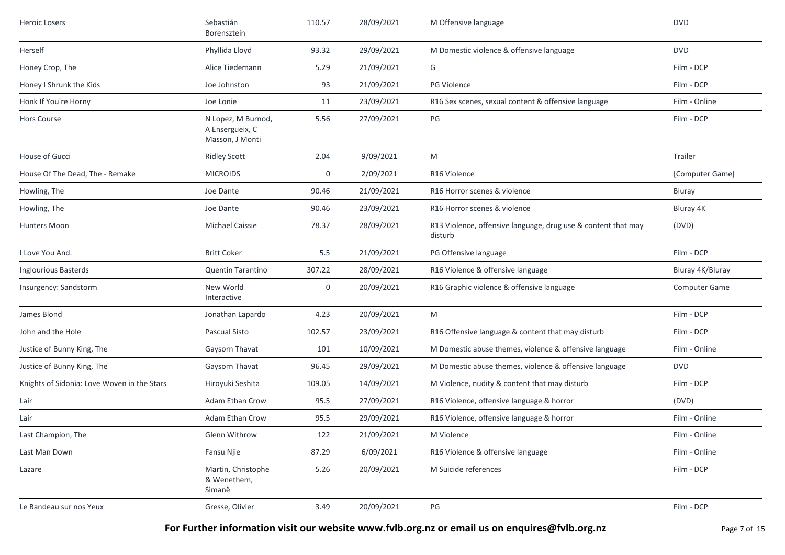| <b>Heroic Losers</b>                        | Sebastián<br>Borensztein                                 | 110.57 | 28/09/2021 | M Offensive language                                                     | <b>DVD</b>           |
|---------------------------------------------|----------------------------------------------------------|--------|------------|--------------------------------------------------------------------------|----------------------|
| Herself                                     | Phyllida Lloyd                                           | 93.32  | 29/09/2021 | M Domestic violence & offensive language                                 | <b>DVD</b>           |
| Honey Crop, The                             | Alice Tiedemann                                          | 5.29   | 21/09/2021 | G                                                                        | Film - DCP           |
| Honey I Shrunk the Kids                     | Joe Johnston                                             | 93     | 21/09/2021 | <b>PG Violence</b>                                                       | Film - DCP           |
| Honk If You're Horny                        | Joe Lonie                                                | 11     | 23/09/2021 | R16 Sex scenes, sexual content & offensive language                      | Film - Online        |
| Hors Course                                 | N Lopez, M Burnod,<br>A Ensergueix, C<br>Masson, J Monti | 5.56   | 27/09/2021 | PG                                                                       | Film - DCP           |
| House of Gucci                              | <b>Ridley Scott</b>                                      | 2.04   | 9/09/2021  | M                                                                        | Trailer              |
| House Of The Dead, The - Remake             | <b>MICROIDS</b>                                          | 0      | 2/09/2021  | R16 Violence                                                             | [Computer Game]      |
| Howling, The                                | Joe Dante                                                | 90.46  | 21/09/2021 | R16 Horror scenes & violence                                             | Bluray               |
| Howling, The                                | Joe Dante                                                | 90.46  | 23/09/2021 | R16 Horror scenes & violence                                             | Bluray 4K            |
| Hunters Moon                                | <b>Michael Caissie</b>                                   | 78.37  | 28/09/2021 | R13 Violence, offensive language, drug use & content that may<br>disturb | (DVD)                |
| I Love You And.                             | <b>Britt Coker</b>                                       | 5.5    | 21/09/2021 | PG Offensive language                                                    | Film - DCP           |
| <b>Inglourious Basterds</b>                 | <b>Quentin Tarantino</b>                                 | 307.22 | 28/09/2021 | R16 Violence & offensive language                                        | Bluray 4K/Bluray     |
| Insurgency: Sandstorm                       | New World<br>Interactive                                 | 0      | 20/09/2021 | R16 Graphic violence & offensive language                                | <b>Computer Game</b> |
| James Blond                                 | Jonathan Lapardo                                         | 4.23   | 20/09/2021 | M                                                                        | Film - DCP           |
| John and the Hole                           | Pascual Sisto                                            | 102.57 | 23/09/2021 | R16 Offensive language & content that may disturb                        | Film - DCP           |
| Justice of Bunny King, The                  | Gaysorn Thavat                                           | 101    | 10/09/2021 | M Domestic abuse themes, violence & offensive language                   | Film - Online        |
| Justice of Bunny King, The                  | Gaysorn Thavat                                           | 96.45  | 29/09/2021 | M Domestic abuse themes, violence & offensive language                   | <b>DVD</b>           |
| Knights of Sidonia: Love Woven in the Stars | Hiroyuki Seshita                                         | 109.05 | 14/09/2021 | M Violence, nudity & content that may disturb                            | Film - DCP           |
| Lair                                        | Adam Ethan Crow                                          | 95.5   | 27/09/2021 | R16 Violence, offensive language & horror                                | (DVD)                |
| Lair                                        | Adam Ethan Crow                                          | 95.5   | 29/09/2021 | R16 Violence, offensive language & horror                                | Film - Online        |
| Last Champion, The                          | Glenn Withrow                                            | 122    | 21/09/2021 | M Violence                                                               | Film - Online        |
| Last Man Down                               | Fansu Njie                                               | 87.29  | 6/09/2021  | R16 Violence & offensive language                                        | Film - Online        |
| Lazare                                      | Martin, Christophe<br>& Wenethem,<br>Simanë              | 5.26   | 20/09/2021 | M Suicide references                                                     | Film - DCP           |
| Le Bandeau sur nos Yeux                     | Gresse, Olivier                                          | 3.49   | 20/09/2021 | $PG$                                                                     | Film - DCP           |

**For Further information visit our website www.fvlb.org.nz or email us on enquires@fvlb.org.nz** Page 7 of 15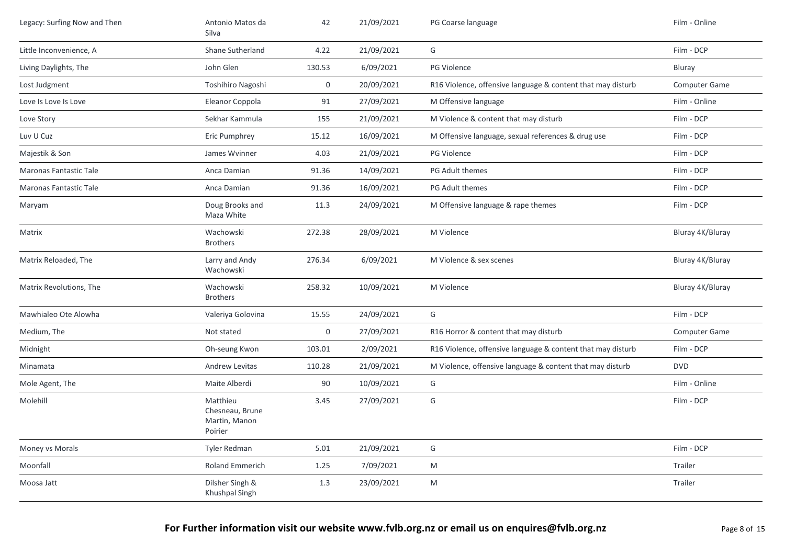| Legacy: Surfing Now and Then  | Antonio Matos da<br>Silva                               | 42               | 21/09/2021 | PG Coarse language                                          | Film - Online        |
|-------------------------------|---------------------------------------------------------|------------------|------------|-------------------------------------------------------------|----------------------|
| Little Inconvenience, A       | Shane Sutherland                                        | 4.22             | 21/09/2021 | G                                                           | Film - DCP           |
| Living Daylights, The         | John Glen                                               | 130.53           | 6/09/2021  | PG Violence                                                 | Bluray               |
| Lost Judgment                 | Toshihiro Nagoshi                                       | 0                | 20/09/2021 | R16 Violence, offensive language & content that may disturb | <b>Computer Game</b> |
| Love Is Love Is Love          | Eleanor Coppola                                         | 91               | 27/09/2021 | M Offensive language                                        | Film - Online        |
| Love Story                    | Sekhar Kammula                                          | 155              | 21/09/2021 | M Violence & content that may disturb                       | Film - DCP           |
| Luv U Cuz                     | Eric Pumphrey                                           | 15.12            | 16/09/2021 | M Offensive language, sexual references & drug use          | Film - DCP           |
| Majestik & Son                | James Wvinner                                           | 4.03             | 21/09/2021 | PG Violence                                                 | Film - DCP           |
| Maronas Fantastic Tale        | Anca Damian                                             | 91.36            | 14/09/2021 | PG Adult themes                                             | Film - DCP           |
| <b>Maronas Fantastic Tale</b> | Anca Damian                                             | 91.36            | 16/09/2021 | PG Adult themes                                             | Film - DCP           |
| Maryam                        | Doug Brooks and<br>Maza White                           | 11.3             | 24/09/2021 | M Offensive language & rape themes                          | Film - DCP           |
| Matrix                        | Wachowski<br><b>Brothers</b>                            | 272.38           | 28/09/2021 | M Violence                                                  | Bluray 4K/Bluray     |
| Matrix Reloaded, The          | Larry and Andy<br>Wachowski                             | 276.34           | 6/09/2021  | M Violence & sex scenes                                     | Bluray 4K/Bluray     |
| Matrix Revolutions, The       | Wachowski<br><b>Brothers</b>                            | 258.32           | 10/09/2021 | M Violence                                                  | Bluray 4K/Bluray     |
| Mawhialeo Ote Alowha          | Valeriya Golovina                                       | 15.55            | 24/09/2021 | G                                                           | Film - DCP           |
| Medium, The                   | Not stated                                              | $\boldsymbol{0}$ | 27/09/2021 | R16 Horror & content that may disturb                       | <b>Computer Game</b> |
| Midnight                      | Oh-seung Kwon                                           | 103.01           | 2/09/2021  | R16 Violence, offensive language & content that may disturb | Film - DCP           |
| Minamata                      | Andrew Levitas                                          | 110.28           | 21/09/2021 | M Violence, offensive language & content that may disturb   | <b>DVD</b>           |
| Mole Agent, The               | Maite Alberdi                                           | 90               | 10/09/2021 | G                                                           | Film - Online        |
| Molehill                      | Matthieu<br>Chesneau, Brune<br>Martin, Manon<br>Poirier | 3.45             | 27/09/2021 | G                                                           | Film - DCP           |
| Money vs Morals               | Tyler Redman                                            | 5.01             | 21/09/2021 | G                                                           | Film - DCP           |
| Moonfall                      | <b>Roland Emmerich</b>                                  | 1.25             | 7/09/2021  | M                                                           | Trailer              |
| Moosa Jatt                    | Dilsher Singh &<br>Khushpal Singh                       | 1.3              | 23/09/2021 | M                                                           | Trailer              |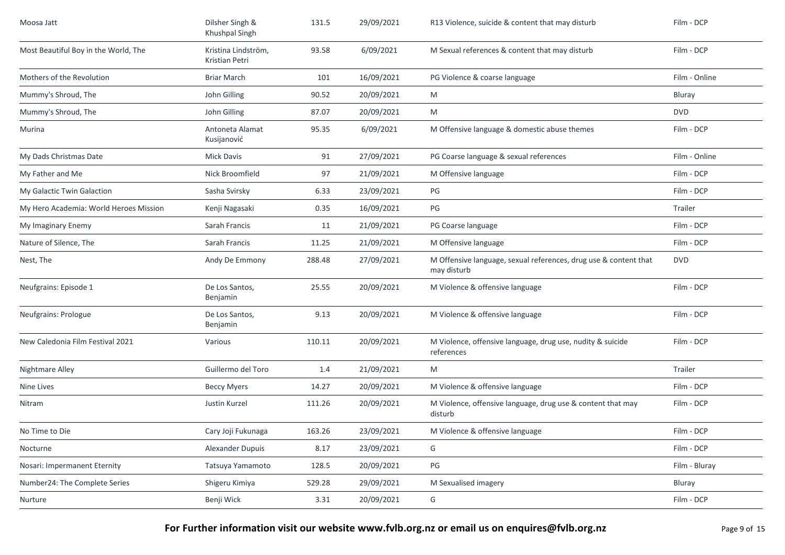| Moosa Jatt                             | Dilsher Singh &<br>Khushpal Singh     | 131.5  | 29/09/2021 | R13 Violence, suicide & content that may disturb                                | Film - DCP    |
|----------------------------------------|---------------------------------------|--------|------------|---------------------------------------------------------------------------------|---------------|
| Most Beautiful Boy in the World, The   | Kristina Lindström,<br>Kristian Petri | 93.58  | 6/09/2021  | M Sexual references & content that may disturb                                  | Film - DCP    |
| Mothers of the Revolution              | <b>Briar March</b>                    | 101    | 16/09/2021 | PG Violence & coarse language                                                   | Film - Online |
| Mummy's Shroud, The                    | John Gilling                          | 90.52  | 20/09/2021 | M                                                                               | Bluray        |
| Mummy's Shroud, The                    | John Gilling                          | 87.07  | 20/09/2021 | M                                                                               | <b>DVD</b>    |
| Murina                                 | Antoneta Alamat<br>Kusijanović        | 95.35  | 6/09/2021  | M Offensive language & domestic abuse themes                                    | Film - DCP    |
| My Dads Christmas Date                 | <b>Mick Davis</b>                     | 91     | 27/09/2021 | PG Coarse language & sexual references                                          | Film - Online |
| My Father and Me                       | Nick Broomfield                       | 97     | 21/09/2021 | M Offensive language                                                            | Film - DCP    |
| My Galactic Twin Galaction             | Sasha Svirsky                         | 6.33   | 23/09/2021 | PG                                                                              | Film - DCP    |
| My Hero Academia: World Heroes Mission | Kenji Nagasaki                        | 0.35   | 16/09/2021 | PG                                                                              | Trailer       |
| My Imaginary Enemy                     | Sarah Francis                         | 11     | 21/09/2021 | PG Coarse language                                                              | Film - DCP    |
| Nature of Silence, The                 | Sarah Francis                         | 11.25  | 21/09/2021 | M Offensive language                                                            | Film - DCP    |
| Nest, The                              | Andy De Emmony                        | 288.48 | 27/09/2021 | M Offensive language, sexual references, drug use & content that<br>may disturb | <b>DVD</b>    |
| Neufgrains: Episode 1                  | De Los Santos,<br>Benjamin            | 25.55  | 20/09/2021 | M Violence & offensive language                                                 | Film - DCP    |
| Neufgrains: Prologue                   | De Los Santos,<br>Benjamin            | 9.13   | 20/09/2021 | M Violence & offensive language                                                 | Film - DCP    |
| New Caledonia Film Festival 2021       | Various                               | 110.11 | 20/09/2021 | M Violence, offensive language, drug use, nudity & suicide<br>references        | Film - DCP    |
| Nightmare Alley                        | Guillermo del Toro                    | 1.4    | 21/09/2021 | M                                                                               | Trailer       |
| Nine Lives                             | <b>Beccy Myers</b>                    | 14.27  | 20/09/2021 | M Violence & offensive language                                                 | Film - DCP    |
| Nitram                                 | Justin Kurzel                         | 111.26 | 20/09/2021 | M Violence, offensive language, drug use & content that may<br>disturb          | Film - DCP    |
| No Time to Die                         | Cary Joji Fukunaga                    | 163.26 | 23/09/2021 | M Violence & offensive language                                                 | Film - DCP    |
| Nocturne                               | Alexander Dupuis                      | 8.17   | 23/09/2021 | G                                                                               | Film - DCP    |
| Nosari: Impermanent Eternity           | Tatsuya Yamamoto                      | 128.5  | 20/09/2021 | PG                                                                              | Film - Bluray |
| Number24: The Complete Series          | Shigeru Kimiya                        | 529.28 | 29/09/2021 | M Sexualised imagery                                                            | Bluray        |
| Nurture                                | Benji Wick                            | 3.31   | 20/09/2021 | G                                                                               | Film - DCP    |
|                                        |                                       |        |            |                                                                                 |               |

**For Further information visit our website www.fvlb.org.nz or email us on enquires@fvlb.org.nz** Page 9 of 15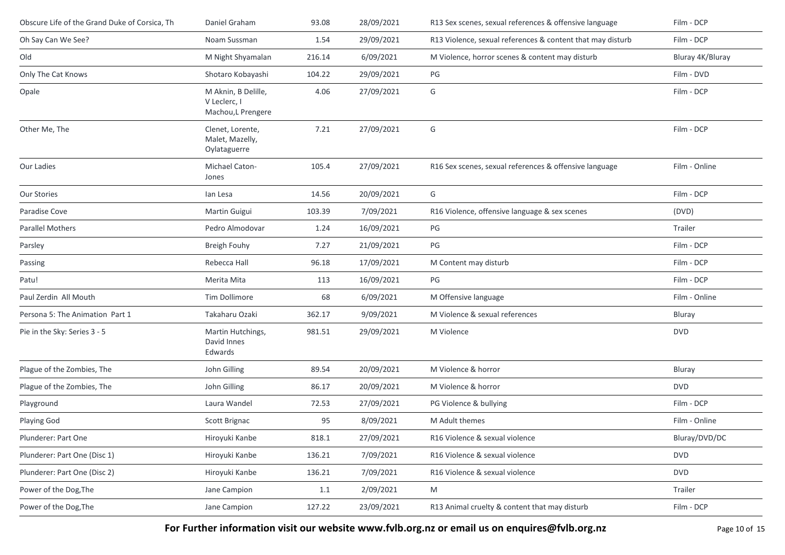| Obscure Life of the Grand Duke of Corsica, Th | Daniel Graham                                             | 93.08  | 28/09/2021 | R13 Sex scenes, sexual references & offensive language     | Film - DCP       |
|-----------------------------------------------|-----------------------------------------------------------|--------|------------|------------------------------------------------------------|------------------|
| Oh Say Can We See?                            | Noam Sussman                                              | 1.54   | 29/09/2021 | R13 Violence, sexual references & content that may disturb | Film - DCP       |
| Old                                           | M Night Shyamalan                                         | 216.14 | 6/09/2021  | M Violence, horror scenes & content may disturb            | Bluray 4K/Bluray |
| Only The Cat Knows                            | Shotaro Kobayashi                                         | 104.22 | 29/09/2021 | $\mathsf{PG}$                                              | Film - DVD       |
| Opale                                         | M Aknin, B Delille,<br>V Leclerc, I<br>Machou, L Prengere | 4.06   | 27/09/2021 | G                                                          | Film - DCP       |
| Other Me, The                                 | Clenet, Lorente,<br>Malet, Mazelly,<br>Oylataguerre       | 7.21   | 27/09/2021 | G                                                          | Film - DCP       |
| Our Ladies                                    | Michael Caton-<br>Jones                                   | 105.4  | 27/09/2021 | R16 Sex scenes, sexual references & offensive language     | Film - Online    |
| Our Stories                                   | lan Lesa                                                  | 14.56  | 20/09/2021 | G                                                          | Film - DCP       |
| Paradise Cove                                 | Martin Guigui                                             | 103.39 | 7/09/2021  | R16 Violence, offensive language & sex scenes              | (DVD)            |
| Parallel Mothers                              | Pedro Almodovar                                           | 1.24   | 16/09/2021 | PG                                                         | Trailer          |
| Parsley                                       | Breigh Fouhy                                              | 7.27   | 21/09/2021 | PG                                                         | Film - DCP       |
| Passing                                       | Rebecca Hall                                              | 96.18  | 17/09/2021 | M Content may disturb                                      | Film - DCP       |
| Patu!                                         | Merita Mita                                               | 113    | 16/09/2021 | PG                                                         | Film - DCP       |
| Paul Zerdin All Mouth                         | Tim Dollimore                                             | 68     | 6/09/2021  | M Offensive language                                       | Film - Online    |
| Persona 5: The Animation Part 1               | Takaharu Ozaki                                            | 362.17 | 9/09/2021  | M Violence & sexual references                             | Bluray           |
| Pie in the Sky: Series 3 - 5                  | Martin Hutchings,<br>David Innes<br>Edwards               | 981.51 | 29/09/2021 | M Violence                                                 | <b>DVD</b>       |
| Plague of the Zombies, The                    | John Gilling                                              | 89.54  | 20/09/2021 | M Violence & horror                                        | Bluray           |
| Plague of the Zombies, The                    | John Gilling                                              | 86.17  | 20/09/2021 | M Violence & horror                                        | <b>DVD</b>       |
| Playground                                    | Laura Wandel                                              | 72.53  | 27/09/2021 | PG Violence & bullying                                     | Film - DCP       |
| Playing God                                   | Scott Brignac                                             | 95     | 8/09/2021  | M Adult themes                                             | Film - Online    |
| Plunderer: Part One                           | Hiroyuki Kanbe                                            | 818.1  | 27/09/2021 | R16 Violence & sexual violence                             | Bluray/DVD/DC    |
| Plunderer: Part One (Disc 1)                  | Hiroyuki Kanbe                                            | 136.21 | 7/09/2021  | R16 Violence & sexual violence                             | <b>DVD</b>       |
| Plunderer: Part One (Disc 2)                  | Hiroyuki Kanbe                                            | 136.21 | 7/09/2021  | R16 Violence & sexual violence                             | <b>DVD</b>       |
| Power of the Dog, The                         | Jane Campion                                              | 1.1    | 2/09/2021  | M                                                          | Trailer          |
| Power of the Dog, The                         | Jane Campion                                              | 127.22 | 23/09/2021 | R13 Animal cruelty & content that may disturb              | Film - DCP       |

For Further information visit our website www.fvlb.org.nz or email us on enquires@fvlb.org.nz<br>Page 10 of 15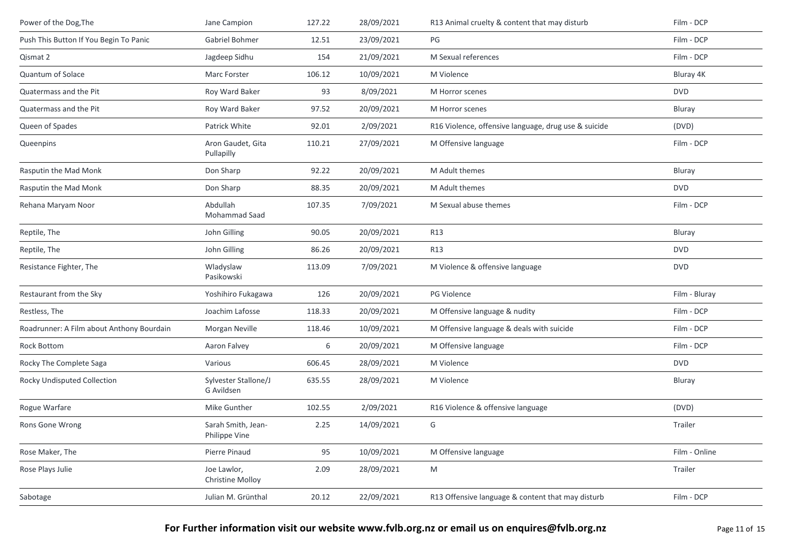| Power of the Dog, The                     | Jane Campion                           | 127.22 | 28/09/2021 | R13 Animal cruelty & content that may disturb        | Film - DCP    |
|-------------------------------------------|----------------------------------------|--------|------------|------------------------------------------------------|---------------|
| Push This Button If You Begin To Panic    | Gabriel Bohmer                         | 12.51  | 23/09/2021 | PG                                                   | Film - DCP    |
| Qismat 2                                  | Jagdeep Sidhu                          | 154    | 21/09/2021 | M Sexual references                                  | Film - DCP    |
| Quantum of Solace                         | Marc Forster                           | 106.12 | 10/09/2021 | M Violence                                           | Bluray 4K     |
| Quatermass and the Pit                    | Roy Ward Baker                         | 93     | 8/09/2021  | M Horror scenes                                      | <b>DVD</b>    |
| Quatermass and the Pit                    | Roy Ward Baker                         | 97.52  | 20/09/2021 | M Horror scenes                                      | Bluray        |
| Queen of Spades                           | Patrick White                          | 92.01  | 2/09/2021  | R16 Violence, offensive language, drug use & suicide | (DVD)         |
| Queenpins                                 | Aron Gaudet, Gita<br>Pullapilly        | 110.21 | 27/09/2021 | M Offensive language                                 | Film - DCP    |
| Rasputin the Mad Monk                     | Don Sharp                              | 92.22  | 20/09/2021 | M Adult themes                                       | Bluray        |
| Rasputin the Mad Monk                     | Don Sharp                              | 88.35  | 20/09/2021 | M Adult themes                                       | <b>DVD</b>    |
| Rehana Maryam Noor                        | Abdullah<br>Mohammad Saad              | 107.35 | 7/09/2021  | M Sexual abuse themes                                | Film - DCP    |
| Reptile, The                              | John Gilling                           | 90.05  | 20/09/2021 | <b>R13</b>                                           | Bluray        |
| Reptile, The                              | John Gilling                           | 86.26  | 20/09/2021 | R13                                                  | <b>DVD</b>    |
| Resistance Fighter, The                   | Wladyslaw<br>Pasikowski                | 113.09 | 7/09/2021  | M Violence & offensive language                      | <b>DVD</b>    |
| Restaurant from the Sky                   | Yoshihiro Fukagawa                     | 126    | 20/09/2021 | PG Violence                                          | Film - Bluray |
| Restless, The                             | Joachim Lafosse                        | 118.33 | 20/09/2021 | M Offensive language & nudity                        | Film - DCP    |
| Roadrunner: A Film about Anthony Bourdain | Morgan Neville                         | 118.46 | 10/09/2021 | M Offensive language & deals with suicide            | Film - DCP    |
| <b>Rock Bottom</b>                        | Aaron Falvey                           | 6      | 20/09/2021 | M Offensive language                                 | Film - DCP    |
| Rocky The Complete Saga                   | Various                                | 606.45 | 28/09/2021 | M Violence                                           | <b>DVD</b>    |
| Rocky Undisputed Collection               | Sylvester Stallone/J<br>G Avildsen     | 635.55 | 28/09/2021 | M Violence                                           | Bluray        |
| Rogue Warfare                             | Mike Gunther                           | 102.55 | 2/09/2021  | R16 Violence & offensive language                    | (DVD)         |
| Rons Gone Wrong                           | Sarah Smith, Jean-<br>Philippe Vine    | 2.25   | 14/09/2021 | G                                                    | Trailer       |
| Rose Maker, The                           | Pierre Pinaud                          | 95     | 10/09/2021 | M Offensive language                                 | Film - Online |
| Rose Plays Julie                          | Joe Lawlor,<br><b>Christine Molloy</b> | 2.09   | 28/09/2021 | M                                                    | Trailer       |
| Sabotage                                  | Julian M. Grünthal                     | 20.12  | 22/09/2021 | R13 Offensive language & content that may disturb    | Film - DCP    |
|                                           |                                        |        |            |                                                      |               |

**For Further information visit our website www.fvlb.org.nz or email us on enquires@fvlb.org.nz** Page 11 of 15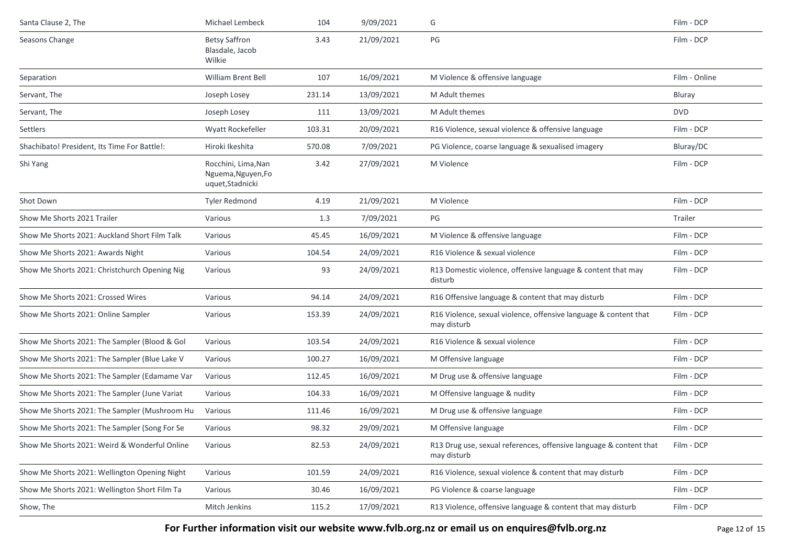| Santa Clause 2, The                           | Michael Lembeck                                               | 104    | 9/09/2021  | G                                                                                 | Film - DCP    |
|-----------------------------------------------|---------------------------------------------------------------|--------|------------|-----------------------------------------------------------------------------------|---------------|
| Seasons Change                                | <b>Betsy Saffron</b><br>Blasdale, Jacob<br>Wilkie             | 3.43   | 21/09/2021 | PG                                                                                | Film - DCP    |
| Separation                                    | William Brent Bell                                            | 107    | 16/09/2021 | M Violence & offensive language                                                   | Film - Online |
| Servant, The                                  | Joseph Losey                                                  | 231.14 | 13/09/2021 | M Adult themes                                                                    | Bluray        |
| Servant, The                                  | Joseph Losey                                                  | 111    | 13/09/2021 | M Adult themes                                                                    | <b>DVD</b>    |
| Settlers                                      | Wyatt Rockefeller                                             | 103.31 | 20/09/2021 | R16 Violence, sexual violence & offensive language                                | Film - DCP    |
| Shachibato! President, Its Time For Battle!:  | Hiroki Ikeshita                                               | 570.08 | 7/09/2021  | PG Violence, coarse language & sexualised imagery                                 | Bluray/DC     |
| Shi Yang                                      | Rocchini, Lima, Nan<br>Nguema, Nguyen, Fo<br>uquet, Stadnicki | 3.42   | 27/09/2021 | M Violence                                                                        | Film - DCP    |
| Shot Down                                     | <b>Tyler Redmond</b>                                          | 4.19   | 21/09/2021 | M Violence                                                                        | Film - DCP    |
| Show Me Shorts 2021 Trailer                   | Various                                                       | 1.3    | 7/09/2021  | PG                                                                                | Trailer       |
| Show Me Shorts 2021: Auckland Short Film Talk | Various                                                       | 45.45  | 16/09/2021 | M Violence & offensive language                                                   | Film - DCP    |
| Show Me Shorts 2021: Awards Night             | Various                                                       | 104.54 | 24/09/2021 | R16 Violence & sexual violence                                                    | Film - DCP    |
| Show Me Shorts 2021: Christchurch Opening Nig | Various                                                       | 93     | 24/09/2021 | R13 Domestic violence, offensive language & content that may<br>disturb           | Film - DCP    |
| Show Me Shorts 2021: Crossed Wires            | Various                                                       | 94.14  | 24/09/2021 | R16 Offensive language & content that may disturb                                 | Film - DCP    |
| Show Me Shorts 2021: Online Sampler           | Various                                                       | 153.39 | 24/09/2021 | R16 Violence, sexual violence, offensive language & content that<br>may disturb   | Film - DCP    |
| Show Me Shorts 2021: The Sampler (Blood & Gol | Various                                                       | 103.54 | 24/09/2021 | R16 Violence & sexual violence                                                    | Film - DCP    |
| Show Me Shorts 2021: The Sampler (Blue Lake V | Various                                                       | 100.27 | 16/09/2021 | M Offensive language                                                              | Film - DCP    |
| Show Me Shorts 2021: The Sampler (Edamame Var | Various                                                       | 112.45 | 16/09/2021 | M Drug use & offensive language                                                   | Film - DCP    |
| Show Me Shorts 2021: The Sampler (June Variat | Various                                                       | 104.33 | 16/09/2021 | M Offensive language & nudity                                                     | Film - DCP    |
| Show Me Shorts 2021: The Sampler (Mushroom Hu | Various                                                       | 111.46 | 16/09/2021 | M Drug use & offensive language                                                   | Film - DCP    |
| Show Me Shorts 2021: The Sampler (Song For Se | Various                                                       | 98.32  | 29/09/2021 | M Offensive language                                                              | Film - DCP    |
| Show Me Shorts 2021: Weird & Wonderful Online | Various                                                       | 82.53  | 24/09/2021 | R13 Drug use, sexual references, offensive language & content that<br>may disturb | Film - DCP    |
| Show Me Shorts 2021: Wellington Opening Night | Various                                                       | 101.59 | 24/09/2021 | R16 Violence, sexual violence & content that may disturb                          | Film - DCP    |
| Show Me Shorts 2021: Wellington Short Film Ta | Various                                                       | 30.46  | 16/09/2021 | PG Violence & coarse language                                                     | Film - DCP    |
| Show, The                                     | Mitch Jenkins                                                 | 115.2  | 17/09/2021 | R13 Violence, offensive language & content that may disturb                       | Film - DCP    |

**For Further information visit our website www.fvlb.org.nz or email us on enquires@fvlb.org.nz** Page 12 of 15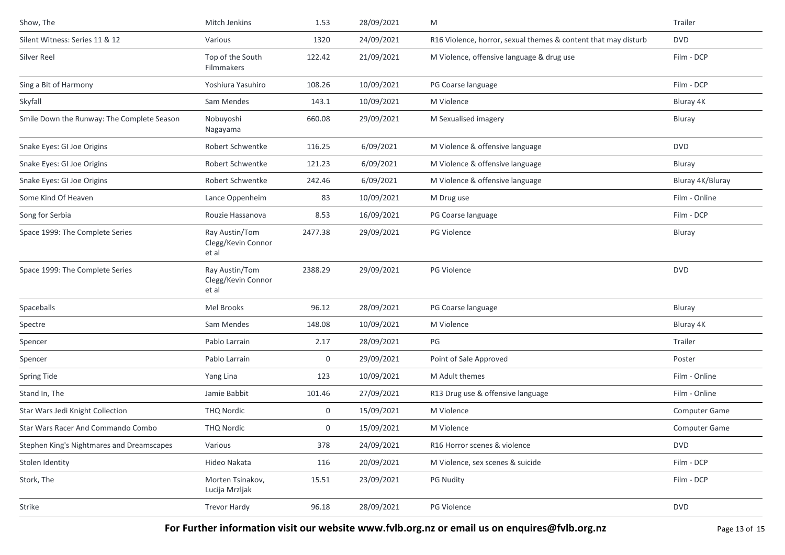| Show, The                                  | Mitch Jenkins                                 | 1.53        | 28/09/2021 | M                                                              | Trailer          |
|--------------------------------------------|-----------------------------------------------|-------------|------------|----------------------------------------------------------------|------------------|
| Silent Witness: Series 11 & 12             | Various                                       | 1320        | 24/09/2021 | R16 Violence, horror, sexual themes & content that may disturb | <b>DVD</b>       |
| Silver Reel                                | Top of the South<br>Filmmakers                | 122.42      | 21/09/2021 | M Violence, offensive language & drug use                      | Film - DCP       |
| Sing a Bit of Harmony                      | Yoshiura Yasuhiro                             | 108.26      | 10/09/2021 | PG Coarse language                                             | Film - DCP       |
| Skyfall                                    | Sam Mendes                                    | 143.1       | 10/09/2021 | M Violence                                                     | Bluray 4K        |
| Smile Down the Runway: The Complete Season | Nobuyoshi<br>Nagayama                         | 660.08      | 29/09/2021 | M Sexualised imagery                                           | Bluray           |
| Snake Eyes: GI Joe Origins                 | Robert Schwentke                              | 116.25      | 6/09/2021  | M Violence & offensive language                                | <b>DVD</b>       |
| Snake Eyes: GI Joe Origins                 | Robert Schwentke                              | 121.23      | 6/09/2021  | M Violence & offensive language                                | Bluray           |
| Snake Eyes: GI Joe Origins                 | Robert Schwentke                              | 242.46      | 6/09/2021  | M Violence & offensive language                                | Bluray 4K/Bluray |
| Some Kind Of Heaven                        | Lance Oppenheim                               | 83          | 10/09/2021 | M Drug use                                                     | Film - Online    |
| Song for Serbia                            | Rouzie Hassanova                              | 8.53        | 16/09/2021 | PG Coarse language                                             | Film - DCP       |
| Space 1999: The Complete Series            | Ray Austin/Tom<br>Clegg/Kevin Connor<br>et al | 2477.38     | 29/09/2021 | PG Violence                                                    | Bluray           |
| Space 1999: The Complete Series            | Ray Austin/Tom<br>Clegg/Kevin Connor<br>et al | 2388.29     | 29/09/2021 | PG Violence                                                    | <b>DVD</b>       |
| Spaceballs                                 | Mel Brooks                                    | 96.12       | 28/09/2021 | PG Coarse language                                             | Bluray           |
| Spectre                                    | Sam Mendes                                    | 148.08      | 10/09/2021 | M Violence                                                     | Bluray 4K        |
| Spencer                                    | Pablo Larrain                                 | 2.17        | 28/09/2021 | PG                                                             | Trailer          |
| Spencer                                    | Pablo Larrain                                 | $\mathbf 0$ | 29/09/2021 | Point of Sale Approved                                         | Poster           |
| Spring Tide                                | Yang Lina                                     | 123         | 10/09/2021 | M Adult themes                                                 | Film - Online    |
| Stand In, The                              | Jamie Babbit                                  | 101.46      | 27/09/2021 | R13 Drug use & offensive language                              | Film - Online    |
| Star Wars Jedi Knight Collection           | <b>THQ Nordic</b>                             | 0           | 15/09/2021 | M Violence                                                     | Computer Game    |
| Star Wars Racer And Commando Combo         | <b>THQ Nordic</b>                             | $\mathbf 0$ | 15/09/2021 | M Violence                                                     | Computer Game    |
| Stephen King's Nightmares and Dreamscapes  | Various                                       | 378         | 24/09/2021 | R16 Horror scenes & violence                                   | <b>DVD</b>       |
| Stolen Identity                            | Hideo Nakata                                  | 116         | 20/09/2021 | M Violence, sex scenes & suicide                               | Film - DCP       |
| Stork, The                                 | Morten Tsinakov,<br>Lucija Mrzljak            | 15.51       | 23/09/2021 | <b>PG Nudity</b>                                               | Film - DCP       |
| Strike                                     | <b>Trevor Hardy</b>                           | 96.18       | 28/09/2021 | PG Violence                                                    | <b>DVD</b>       |
|                                            |                                               |             |            |                                                                |                  |

For Further information visit our website www.fvlb.org.nz or email us on enquires@fvlb.org.nz<br>Page 13 of 15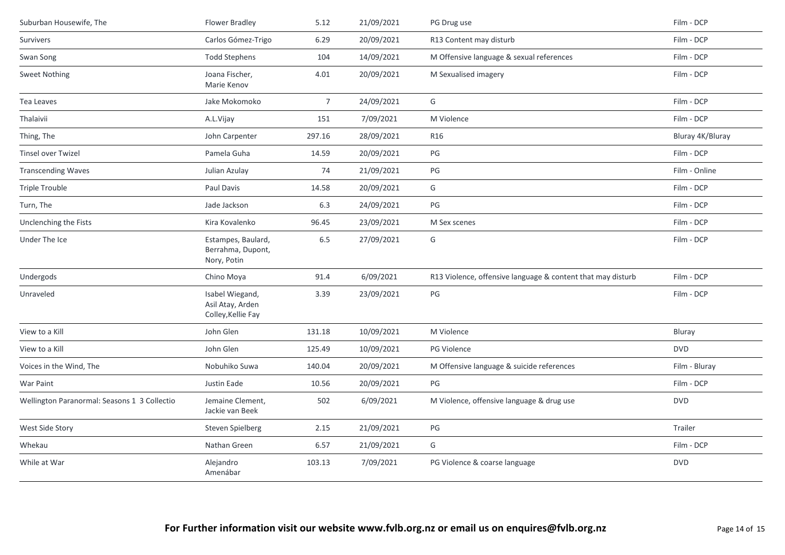| Suburban Housewife, The                      | <b>Flower Bradley</b>                                     | 5.12           | 21/09/2021 | PG Drug use                                                 | Film - DCP       |
|----------------------------------------------|-----------------------------------------------------------|----------------|------------|-------------------------------------------------------------|------------------|
| Survivers                                    | Carlos Gómez-Trigo                                        | 6.29           | 20/09/2021 | R13 Content may disturb                                     | Film - DCP       |
| Swan Song                                    | <b>Todd Stephens</b>                                      | 104            | 14/09/2021 | M Offensive language & sexual references                    | Film - DCP       |
| <b>Sweet Nothing</b>                         | Joana Fischer,<br>Marie Kenov                             | 4.01           | 20/09/2021 | M Sexualised imagery                                        | Film - DCP       |
| Tea Leaves                                   | Jake Mokomoko                                             | $\overline{7}$ | 24/09/2021 | G                                                           | Film - DCP       |
| Thalaivii                                    | A.L.Vijay                                                 | 151            | 7/09/2021  | M Violence                                                  | Film - DCP       |
| Thing, The                                   | John Carpenter                                            | 297.16         | 28/09/2021 | R <sub>16</sub>                                             | Bluray 4K/Bluray |
| <b>Tinsel over Twizel</b>                    | Pamela Guha                                               | 14.59          | 20/09/2021 | PG                                                          | Film - DCP       |
| <b>Transcending Waves</b>                    | Julian Azulay                                             | 74             | 21/09/2021 | $PG$                                                        | Film - Online    |
| Triple Trouble                               | Paul Davis                                                | 14.58          | 20/09/2021 | G                                                           | Film - DCP       |
| Turn, The                                    | Jade Jackson                                              | 6.3            | 24/09/2021 | $\mathsf{PG}$                                               | Film - DCP       |
| Unclenching the Fists                        | Kira Kovalenko                                            | 96.45          | 23/09/2021 | M Sex scenes                                                | Film - DCP       |
| Under The Ice                                | Estampes, Baulard,<br>Berrahma, Dupont,<br>Nory, Potin    | 6.5            | 27/09/2021 | G                                                           | Film - DCP       |
| Undergods                                    | Chino Moya                                                | 91.4           | 6/09/2021  | R13 Violence, offensive language & content that may disturb | Film - DCP       |
| Unraveled                                    | Isabel Wiegand,<br>Asil Atay, Arden<br>Colley, Kellie Fay | 3.39           | 23/09/2021 | $\mathsf{PG}$                                               | Film - DCP       |
| View to a Kill                               | John Glen                                                 | 131.18         | 10/09/2021 | M Violence                                                  | Bluray           |
| View to a Kill                               | John Glen                                                 | 125.49         | 10/09/2021 | PG Violence                                                 | <b>DVD</b>       |
| Voices in the Wind, The                      | Nobuhiko Suwa                                             | 140.04         | 20/09/2021 | M Offensive language & suicide references                   | Film - Bluray    |
| War Paint                                    | Justin Eade                                               | 10.56          | 20/09/2021 | PG                                                          | Film - DCP       |
| Wellington Paranormal: Seasons 1 3 Collectio | Jemaine Clement,<br>Jackie van Beek                       | 502            | 6/09/2021  | M Violence, offensive language & drug use                   | <b>DVD</b>       |
| West Side Story                              | Steven Spielberg                                          | 2.15           | 21/09/2021 | $PG$                                                        | Trailer          |
| Whekau                                       | Nathan Green                                              | 6.57           | 21/09/2021 | G                                                           | Film - DCP       |
| While at War                                 | Alejandro<br>Amenábar                                     | 103.13         | 7/09/2021  | PG Violence & coarse language                               | <b>DVD</b>       |